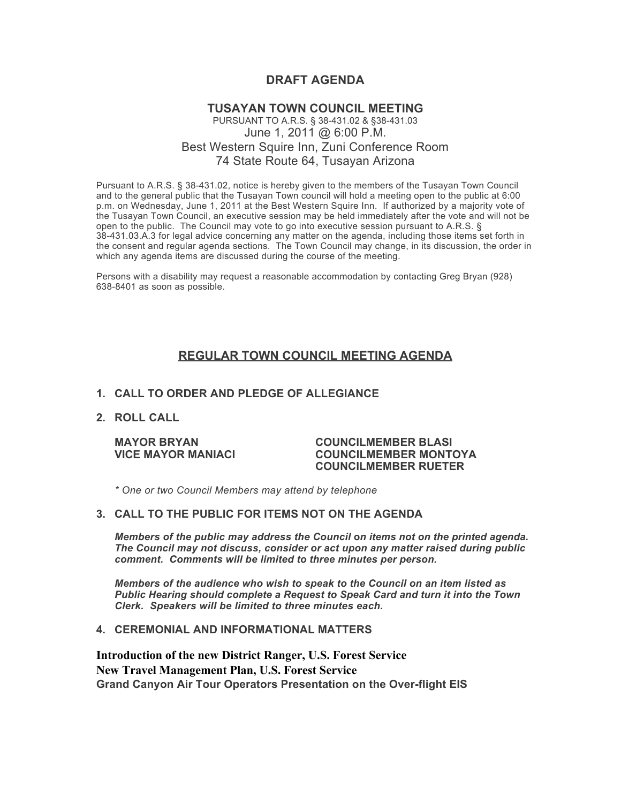# **DRAFT AGENDA**

# **TUSAYAN TOWN COUNCIL MEETING** PURSUANT TO A.R.S. § 38-431.02 & §38-431.03 June 1, 2011 @ 6:00 P.M. Best Western Squire Inn, Zuni Conference Room 74 State Route 64, Tusayan Arizona

Pursuant to A.R.S. § 38-431.02, notice is hereby given to the members of the Tusayan Town Council and to the general public that the Tusayan Town council will hold a meeting open to the public at 6:00 p.m. on Wednesday, June 1, 2011 at the Best Western Squire Inn. If authorized by a majority vote of the Tusayan Town Council, an executive session may be held immediately after the vote and will not be open to the public. The Council may vote to go into executive session pursuant to A.R.S. § 38-431.03.A.3 for legal advice concerning any matter on the agenda, including those items set forth in the consent and regular agenda sections. The Town Council may change, in its discussion, the order in which any agenda items are discussed during the course of the meeting.

Persons with a disability may request a reasonable accommodation by contacting Greg Bryan (928) 638-8401 as soon as possible.

# **REGULAR TOWN COUNCIL MEETING AGENDA**

### **1. CALL TO ORDER AND PLEDGE OF ALLEGIANCE**

### **2. ROLL CALL**

#### **MAYOR BRYAN COUNCILMEMBER BLASI VICE MAYOR MANIACI COUNCILMEMBER MONTOYA COUNCILMEMBER RUETER**

*\* One or two Council Members may attend by telephone*

## **3. CALL TO THE PUBLIC FOR ITEMS NOT ON THE AGENDA**

*Members of the public may address the Council* **o***n items not on the printed agenda. The Council may not discuss, consider or act upon any matter raised during public comment. Comments will be limited to three minutes per person.*

*Members of the audience who wish to speak to the Council on an item listed as Public Hearing should complete a Request to Speak Card and turn it into the Town Clerk. Speakers will be limited to three minutes each.*

#### **4. CEREMONIAL AND INFORMATIONAL MATTERS**

**Introduction of the new District Ranger, U.S. Forest Service New Travel Management Plan, U.S. Forest Service Grand Canyon Air Tour Operators Presentation on the Over-flight EIS**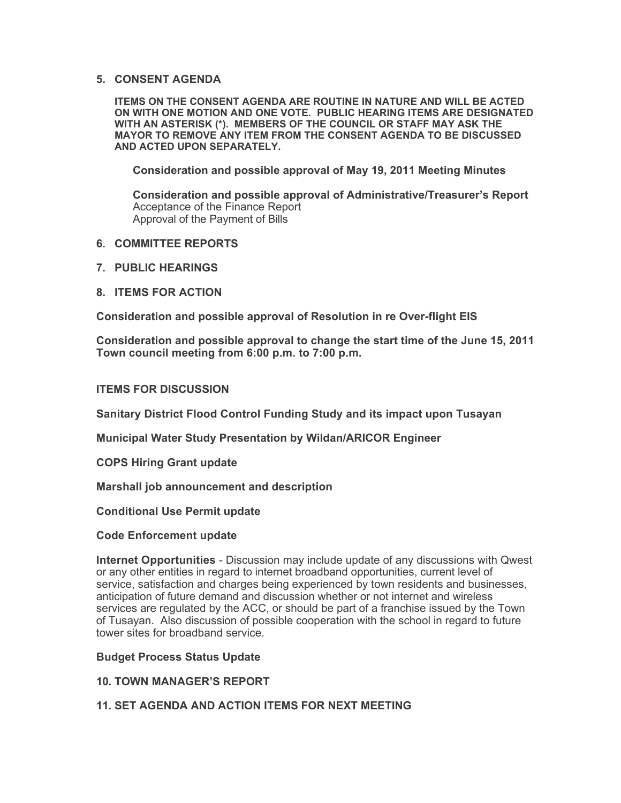### **5. CONSENT AGENDA**

**ITEMS ON THE CONSENT AGENDA ARE ROUTINE IN NATURE AND WILL BE ACTED ON WITH ONE MOTION AND ONE VOTE. PUBLIC HEARING ITEMS ARE DESIGNATED WITH AN ASTERISK (\*). MEMBERS OF THE COUNCIL OR STAFF MAY ASK THE MAYOR TO REMOVE ANY ITEM FROM THE CONSENT AGENDA TO BE DISCUSSED AND ACTED UPON SEPARATELY.**

**Consideration and possible approval of May 19, 2011 Meeting Minutes**

**Consideration and possible approval of Administrative/Treasurer's Report** Acceptance of the Finance Report Approval of the Payment of Bills

- **6. COMMITTEE REPORTS**
- **7. PUBLIC HEARINGS**
- **8. ITEMS FOR ACTION**

**Consideration and possible approval of Resolution in re Over-flight EIS** 

**Consideration and possible approval to change the start time of the June 15, 2011 Town council meeting from 6:00 p.m. to 7:00 p.m.** 

**ITEMS FOR DISCUSSION**

**Sanitary District Flood Control Funding Study and its impact upon Tusayan**

**Municipal Water Study Presentation by Wildan/ARICOR Engineer**

**COPS Hiring Grant update**

**Marshall job announcement and description**

**Conditional Use Permit update**

### **Code Enforcement update**

**Internet Opportunities** - Discussion may include update of any discussions with Qwest or any other entities in regard to internet broadband opportunities, current level of service, satisfaction and charges being experienced by town residents and businesses, anticipation of future demand and discussion whether or not internet and wireless services are regulated by the ACC, or should be part of a franchise issued by the Town of Tusayan. Also discussion of possible cooperation with the school in regard to future tower sites for broadband service.

**Budget Process Status Update**

- **10. TOWN MANAGER'S REPORT**
- **11. SET AGENDA AND ACTION ITEMS FOR NEXT MEETING**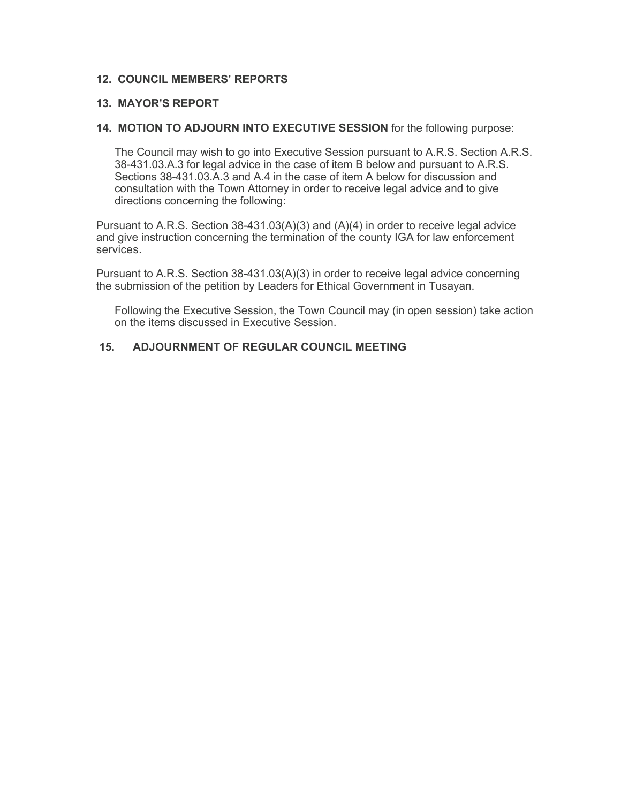# **12. COUNCIL MEMBERS' REPORTS**

# **13. MAYOR'S REPORT**

## **14. MOTION TO ADJOURN INTO EXECUTIVE SESSION** for the following purpose:

The Council may wish to go into Executive Session pursuant to A.R.S. Section A.R.S. 38-431.03.A.3 for legal advice in the case of item B below and pursuant to A.R.S. Sections 38-431.03.A.3 and A.4 in the case of item A below for discussion and consultation with the Town Attorney in order to receive legal advice and to give directions concerning the following:

Pursuant to A.R.S. Section 38-431.03(A)(3) and (A)(4) in order to receive legal advice and give instruction concerning the termination of the county IGA for law enforcement services.

Pursuant to A.R.S. Section 38-431.03(A)(3) in order to receive legal advice concerning the submission of the petition by Leaders for Ethical Government in Tusayan.

Following the Executive Session, the Town Council may (in open session) take action on the items discussed in Executive Session.

# **15. ADJOURNMENT OF REGULAR COUNCIL MEETING**